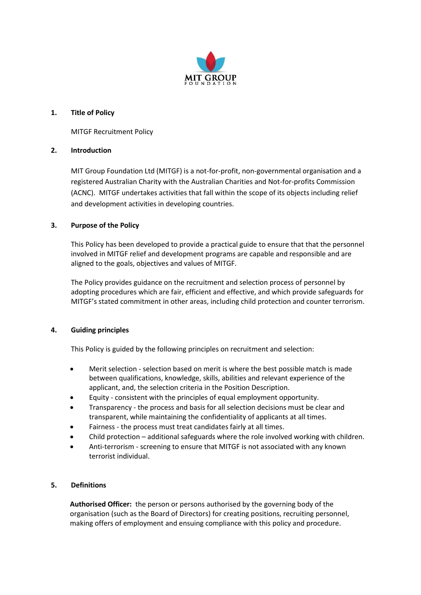

## **1. Title of Policy**

MITGF Recruitment Policy

## **2. Introduction**

MIT Group Foundation Ltd (MITGF) is a not-for-profit, non-governmental organisation and a registered Australian Charity with the Australian Charities and Not-for-profits Commission (ACNC). MITGF undertakes activities that fall within the scope of its objects including relief and development activities in developing countries.

## **3. Purpose of the Policy**

This Policy has been developed to provide a practical guide to ensure that that the personnel involved in MITGF relief and development programs are capable and responsible and are aligned to the goals, objectives and values of MITGF.

The Policy provides guidance on the recruitment and selection process of personnel by adopting procedures which are fair, efficient and effective, and which provide safeguards for MITGF's stated commitment in other areas, including child protection and counter terrorism.

## **4. Guiding principles**

This Policy is guided by the following principles on recruitment and selection:

- Merit selection selection based on merit is where the best possible match is made between qualifications, knowledge, skills, abilities and relevant experience of the applicant, and, the selection criteria in the Position Description.
- Equity consistent with the principles of equal employment opportunity.
- Transparency the process and basis for all selection decisions must be clear and transparent, while maintaining the confidentiality of applicants at all times.
- Fairness the process must treat candidates fairly at all times.
- Child protection additional safeguards where the role involved working with children.
- Anti-terrorism screening to ensure that MITGF is not associated with any known terrorist individual.

## **5. Definitions**

**Authorised Officer:** the person or persons authorised by the governing body of the organisation (such as the Board of Directors) for creating positions, recruiting personnel, making offers of employment and ensuing compliance with this policy and procedure.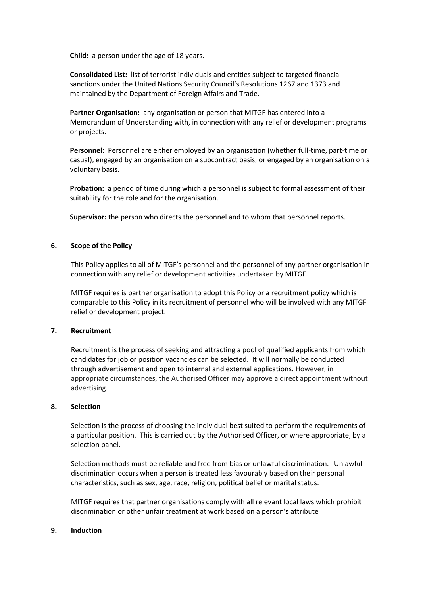**Child:** a person under the age of 18 years.

**Consolidated List:** list of terrorist individuals and entities subject to targeted financial sanctions under the United Nations Security Council's Resolutions 1267 and 1373 and maintained by the Department of Foreign Affairs and Trade.

**Partner Organisation:** any organisation or person that MITGF has entered into a Memorandum of Understanding with, in connection with any relief or development programs or projects.

**Personnel:** Personnel are either employed by an organisation (whether full-time, part-time or casual), engaged by an organisation on a subcontract basis, or engaged by an organisation on a voluntary basis.

**Probation:** a period of time during which a personnel is subject to formal assessment of their suitability for the role and for the organisation.

**Supervisor:** the person who directs the personnel and to whom that personnel reports.

### **6. Scope of the Policy**

This Policy applies to all of MITGF's personnel and the personnel of any partner organisation in connection with any relief or development activities undertaken by MITGF.

MITGF requires is partner organisation to adopt this Policy or a recruitment policy which is comparable to this Policy in its recruitment of personnel who will be involved with any MITGF relief or development project.

#### **7. Recruitment**

Recruitment is the process of seeking and attracting a pool of qualified applicants from which candidates for job or position vacancies can be selected. It will normally be conducted through advertisement and open to internal and external applications. However, in appropriate circumstances, the Authorised Officer may approve a direct appointment without advertising.

#### **8. Selection**

Selection is the process of choosing the individual best suited to perform the requirements of a particular position. This is carried out by the Authorised Officer, or where appropriate, by a selection panel.

Selection methods must be reliable and free from bias or unlawful discrimination. Unlawful discrimination occurs when a person is treated less favourably based on their personal characteristics, such as sex, age, race, religion, political belief or marital status.

MITGF requires that partner organisations comply with all relevant local laws which prohibit discrimination or other unfair treatment at work based on a person's attribute

#### **9. Induction**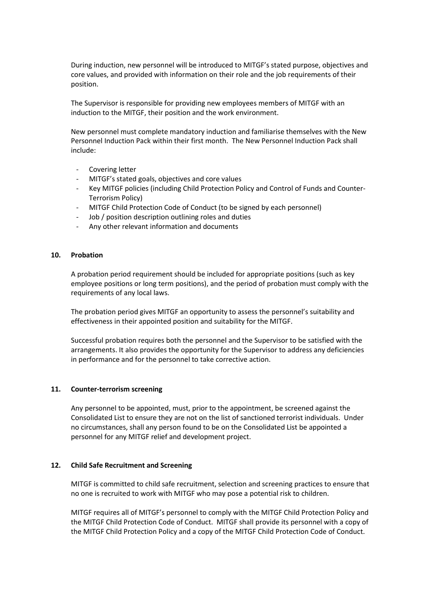During induction, new personnel will be introduced to MITGF's stated purpose, objectives and core values, and provided with information on their role and the job requirements of their position.

The Supervisor is responsible for providing new employees members of MITGF with an induction to the MITGF, their position and the work environment.

New personnel must complete mandatory induction and familiarise themselves with the New Personnel Induction Pack within their first month. The New Personnel Induction Pack shall include:

- Covering letter
- MITGF's stated goals, objectives and core values
- Key MITGF policies (including Child Protection Policy and Control of Funds and Counter-Terrorism Policy)
- MITGF Child Protection Code of Conduct (to be signed by each personnel)
- Job / position description outlining roles and duties
- Any other relevant information and documents

### **10. Probation**

A probation period requirement should be included for appropriate positions (such as key employee positions or long term positions), and the period of probation must comply with the requirements of any local laws.

The probation period gives MITGF an opportunity to assess the personnel's suitability and effectiveness in their appointed position and suitability for the MITGF.

Successful probation requires both the personnel and the Supervisor to be satisfied with the arrangements. It also provides the opportunity for the Supervisor to address any deficiencies in performance and for the personnel to take corrective action.

### **11. Counter-terrorism screening**

Any personnel to be appointed, must, prior to the appointment, be screened against the Consolidated List to ensure they are not on the list of sanctioned terrorist individuals. Under no circumstances, shall any person found to be on the Consolidated List be appointed a personnel for any MITGF relief and development project.

### **12. Child Safe Recruitment and Screening**

MITGF is committed to child safe recruitment, selection and screening practices to ensure that no one is recruited to work with MITGF who may pose a potential risk to children.

MITGF requires all of MITGF's personnel to comply with the MITGF Child Protection Policy and the MITGF Child Protection Code of Conduct. MITGF shall provide its personnel with a copy of the MITGF Child Protection Policy and a copy of the MITGF Child Protection Code of Conduct.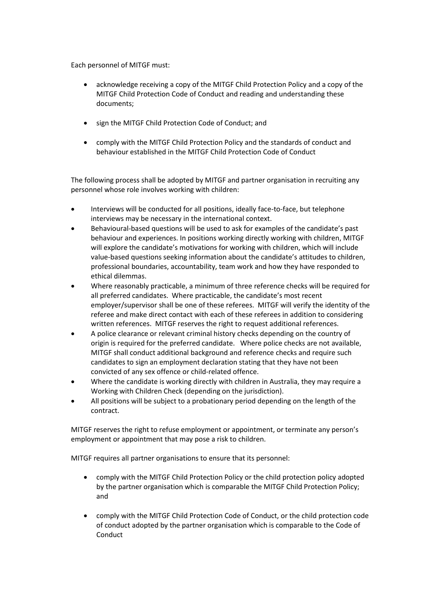Each personnel of MITGF must:

- acknowledge receiving a copy of the MITGF Child Protection Policy and a copy of the MITGF Child Protection Code of Conduct and reading and understanding these documents;
- sign the MITGF Child Protection Code of Conduct; and
- comply with the MITGF Child Protection Policy and the standards of conduct and behaviour established in the MITGF Child Protection Code of Conduct

The following process shall be adopted by MITGF and partner organisation in recruiting any personnel whose role involves working with children:

- Interviews will be conducted for all positions, ideally face-to-face, but telephone interviews may be necessary in the international context.
- Behavioural-based questions will be used to ask for examples of the candidate's past behaviour and experiences. In positions working directly working with children, MITGF will explore the candidate's motivations for working with children, which will include value-based questions seeking information about the candidate's attitudes to children, professional boundaries, accountability, team work and how they have responded to ethical dilemmas.
- Where reasonably practicable, a minimum of three reference checks will be required for all preferred candidates. Where practicable, the candidate's most recent employer/supervisor shall be one of these referees. MITGF will verify the identity of the referee and make direct contact with each of these referees in addition to considering written references. MITGF reserves the right to request additional references.
- A police clearance or relevant criminal history checks depending on the country of origin is required for the preferred candidate. Where police checks are not available, MITGF shall conduct additional background and reference checks and require such candidates to sign an employment declaration stating that they have not been convicted of any sex offence or child-related offence.
- Where the candidate is working directly with children in Australia, they may require a Working with Children Check (depending on the jurisdiction).
- All positions will be subject to a probationary period depending on the length of the contract.

MITGF reserves the right to refuse employment or appointment, or terminate any person's employment or appointment that may pose a risk to children.

MITGF requires all partner organisations to ensure that its personnel:

- comply with the MITGF Child Protection Policy or the child protection policy adopted by the partner organisation which is comparable the MITGF Child Protection Policy; and
- comply with the MITGF Child Protection Code of Conduct, or the child protection code of conduct adopted by the partner organisation which is comparable to the Code of Conduct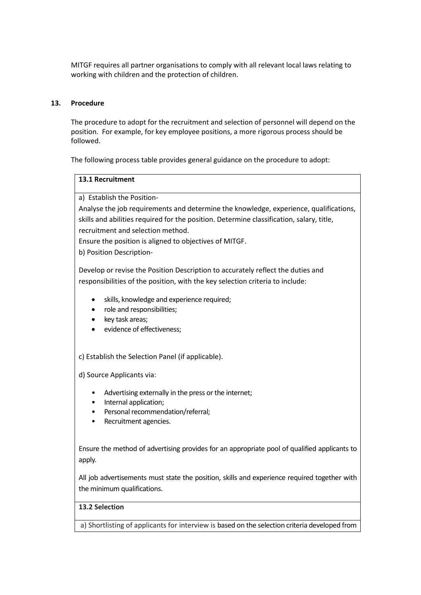MITGF requires all partner organisations to comply with all relevant local laws relating to working with children and the protection of children.

### **13. Procedure**

The procedure to adopt for the recruitment and selection of personnel will depend on the position. For example, for key employee positions, a more rigorous process should be followed.

The following process table provides general guidance on the procedure to adopt:

## **13.1 Recruitment**

a) Establish the Position-

Analyse the job requirements and determine the knowledge, experience, qualifications, skills and abilities required for the position. Determine classification, salary, title, recruitment and selection method.

Ensure the position is aligned to objectives of MITGF.

b) Position Description-

Develop or revise the Position Description to accurately reflect the duties and responsibilities of the position, with the key selection criteria to include:

- skills, knowledge and experience required;
- role and responsibilities;
- key task areas;
- evidence of effectiveness;

c) Establish the Selection Panel (if applicable).

d) Source Applicants via:

- Advertising externally in the press or the internet;
- Internal application;
- Personal recommendation/referral;
- Recruitment agencies.

Ensure the method of advertising provides for an appropriate pool of qualified applicants to apply.

All job advertisements must state the position, skills and experience required together with the minimum qualifications.

## **13.2 Selection**

a) Shortlisting of applicants for interview is based on the selection criteria developed from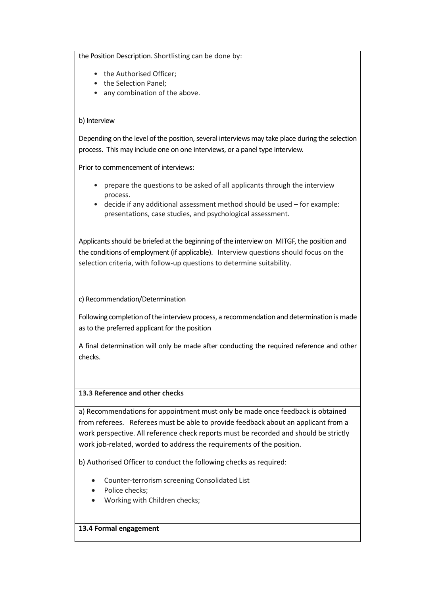the Position Description. Shortlisting can be done by:

- the Authorised Officer;
- the Selection Panel:
- any combination of the above.

## b) Interview

Depending on the level of the position, several interviews may take place during the selection process. This may include one on one interviews, or a panel type interview.

Prior to commencement of interviews:

- prepare the questions to be asked of all applicants through the interview process.
- decide if any additional assessment method should be used for example: presentations, case studies, and psychological assessment.

Applicants should be briefed at the beginning of the interview on MITGF, the position and the conditions of employment (if applicable). Interview questions should focus on the selection criteria, with follow-up questions to determine suitability.

## c) Recommendation/Determination

Following completion of the interview process, a recommendation and determination is made as to the preferred applicant for the position

A final determination will only be made after conducting the required reference and other checks.

## **13.3 Reference and other checks**

a) Recommendations for appointment must only be made once feedback is obtained from referees. Referees must be able to provide feedback about an applicant from a work perspective. All reference check reports must be recorded and should be strictly work job-related, worded to address the requirements of the position.

b) Authorised Officer to conduct the following checks as required:

- Counter-terrorism screening Consolidated List
- Police checks;
- Working with Children checks;

### **13.4 Formal engagement**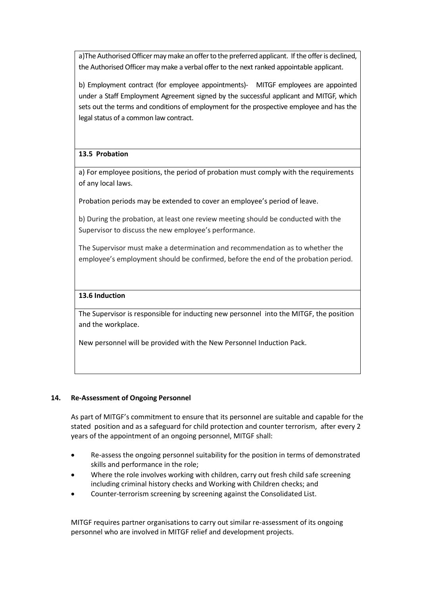a)The Authorised Officer may make an offer to the preferred applicant. If the offer is declined, the Authorised Officer may make a verbal offer to the next ranked appointable applicant.

b) Employment contract (for employee appointments)- MITGF employees are appointed under a Staff Employment Agreement signed by the successful applicant and MITGF, which sets out the terms and conditions of employment for the prospective employee and has the legal status of a common law contract.

## **13.5 Probation**

a) For employee positions, the period of probation must comply with the requirements of any local laws.

Probation periods may be extended to cover an employee's period of leave.

b) During the probation, at least one review meeting should be conducted with the Supervisor to discuss the new employee's performance.

The Supervisor must make a determination and recommendation as to whether the employee's employment should be confirmed, before the end of the probation period.

## **13.6 Induction**

The Supervisor is responsible for inducting new personnel into the MITGF, the position and the workplace.

New personnel will be provided with the New Personnel Induction Pack.

## **14. Re-Assessment of Ongoing Personnel**

As part of MITGF's commitment to ensure that its personnel are suitable and capable for the stated position and as a safeguard for child protection and counter terrorism, after every 2 years of the appointment of an ongoing personnel, MITGF shall:

- Re-assess the ongoing personnel suitability for the position in terms of demonstrated skills and performance in the role;
- Where the role involves working with children, carry out fresh child safe screening including criminal history checks and Working with Children checks; and
- Counter-terrorism screening by screening against the Consolidated List.

MITGF requires partner organisations to carry out similar re-assessment of its ongoing personnel who are involved in MITGF relief and development projects.